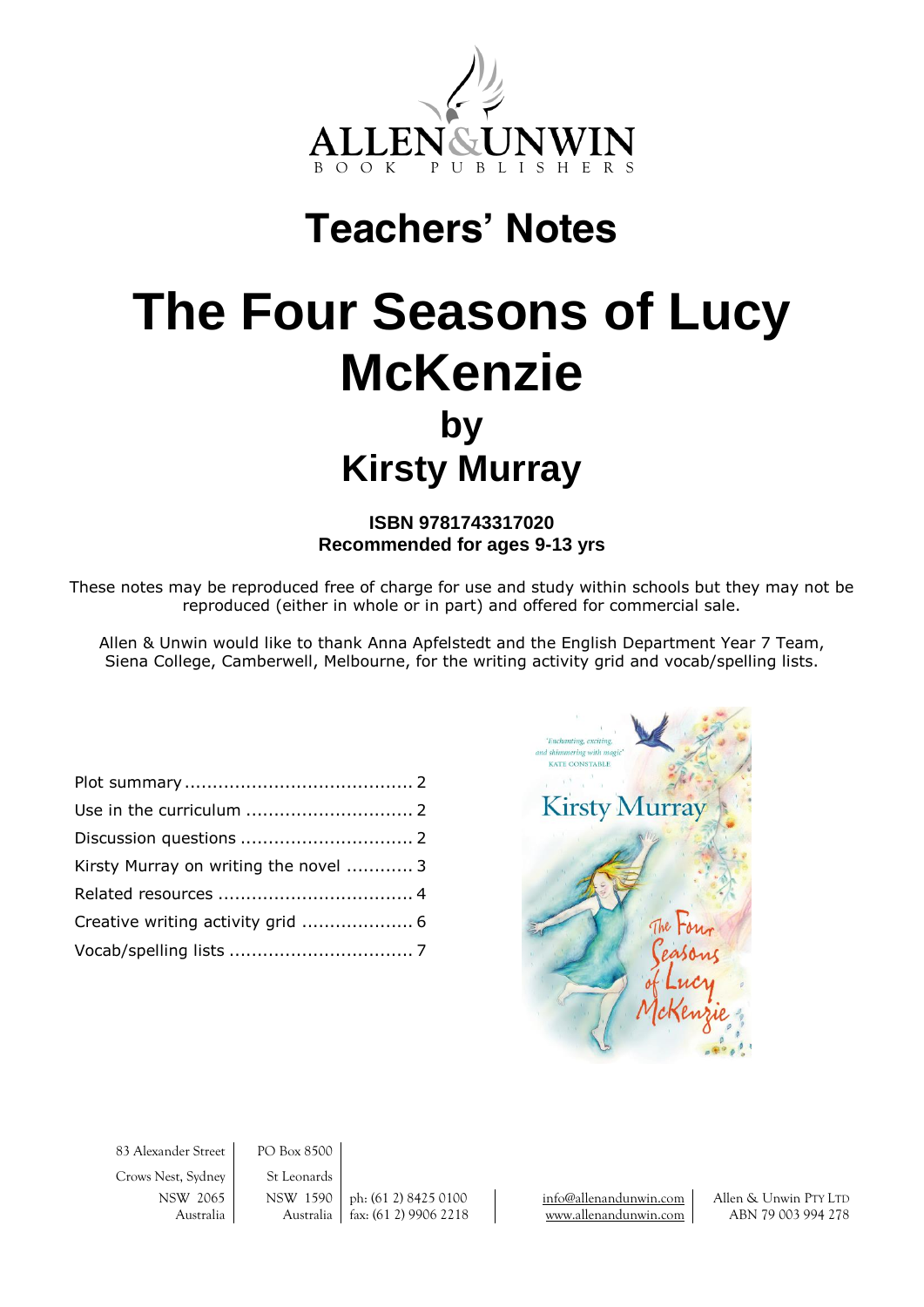

## **Teachers' Notes**

# **The Four Seasons of Lucy McKenzie by Kirsty Murray**

#### **ISBN 9781743317020 Recommended for ages 9-13 yrs**

These notes may be reproduced free of charge for use and study within schools but they may not be reproduced (either in whole or in part) and offered for commercial sale.

Allen & Unwin would like to thank Anna Apfelstedt and the English Department Year 7 Team, Siena College, Camberwell, Melbourne, for the writing activity grid and vocab/spelling lists.

| Kirsty Murray on writing the novel  3 |  |
|---------------------------------------|--|
|                                       |  |
|                                       |  |
|                                       |  |



83 Alexander Street PO Box 8500

Crows Nest, Sydney St Leonards

NSW 2065 NSW 1590 ph: (61 2) 8425 0100 [info@allenandunwin.com](mailto:info@allenandunwin.com) Allen & Unwin PTY LTD Australia | Australia | fax: (61 2) 9906 2218 | [www.allenandunwin.com](http://www.allenandunwin.com/) | ABN 79 003 994 278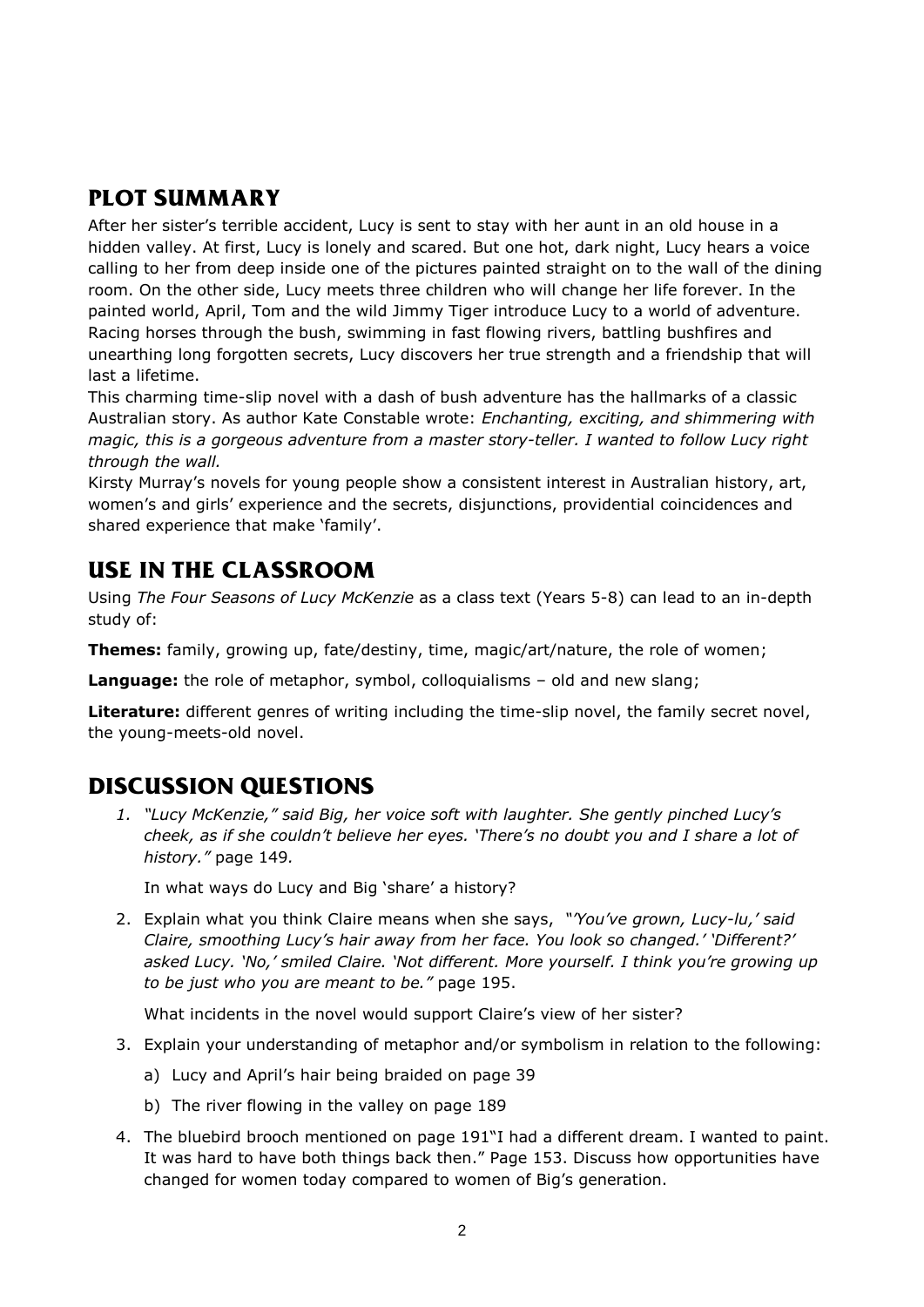## **PLOT SUMMARY**

After her sister's terrible accident, Lucy is sent to stay with her aunt in an old house in a hidden valley. At first, Lucy is lonely and scared. But one hot, dark night, Lucy hears a voice calling to her from deep inside one of the pictures painted straight on to the wall of the dining room. On the other side, Lucy meets three children who will change her life forever. In the painted world, April, Tom and the wild Jimmy Tiger introduce Lucy to a world of adventure. Racing horses through the bush, swimming in fast flowing rivers, battling bushfires and unearthing long forgotten secrets, Lucy discovers her true strength and a friendship that will last a lifetime.

This charming time-slip novel with a dash of bush adventure has the hallmarks of a classic Australian story. As author Kate Constable wrote: *Enchanting, exciting, and shimmering with magic, this is a gorgeous adventure from a master story-teller. I wanted to follow Lucy right through the wall.*

Kirsty Murray's novels for young people show a consistent interest in Australian history, art, women's and girls' experience and the secrets, disjunctions, providential coincidences and shared experience that make 'family'.

## **USE IN THE CLASSROOM**

Using *The Four Seasons of Lucy McKenzie* as a class text (Years 5-8) can lead to an in-depth study of:

**Themes:** family, growing up, fate/destiny, time, magic/art/nature, the role of women;

**Language:** the role of metaphor, symbol, colloquialisms – old and new slang;

**Literature:** different genres of writing including the time-slip novel, the family secret novel, the young-meets-old novel.

## **DISCUSSION QUESTIONS**

*1. "Lucy McKenzie," said Big, her voice soft with laughter. She gently pinched Lucy's cheek, as if she couldn't believe her eyes. 'There's no doubt you and I share a lot of history."* page 149*.*

In what ways do Lucy and Big 'share' a history?

2. Explain what you think Claire means when she says, *"'You've grown, Lucy-lu,' said Claire, smoothing Lucy's hair away from her face. You look so changed.' 'Different?' asked Lucy. 'No,' smiled Claire. 'Not different. More yourself. I think you're growing up to be just who you are meant to be."* page 195.

What incidents in the novel would support Claire's view of her sister?

- 3. Explain your understanding of metaphor and/or symbolism in relation to the following:
	- a) Lucy and April's hair being braided on page 39
	- b) The river flowing in the valley on page 189
- 4. The bluebird brooch mentioned on page 191"I had a different dream. I wanted to paint. It was hard to have both things back then." Page 153. Discuss how opportunities have changed for women today compared to women of Big's generation.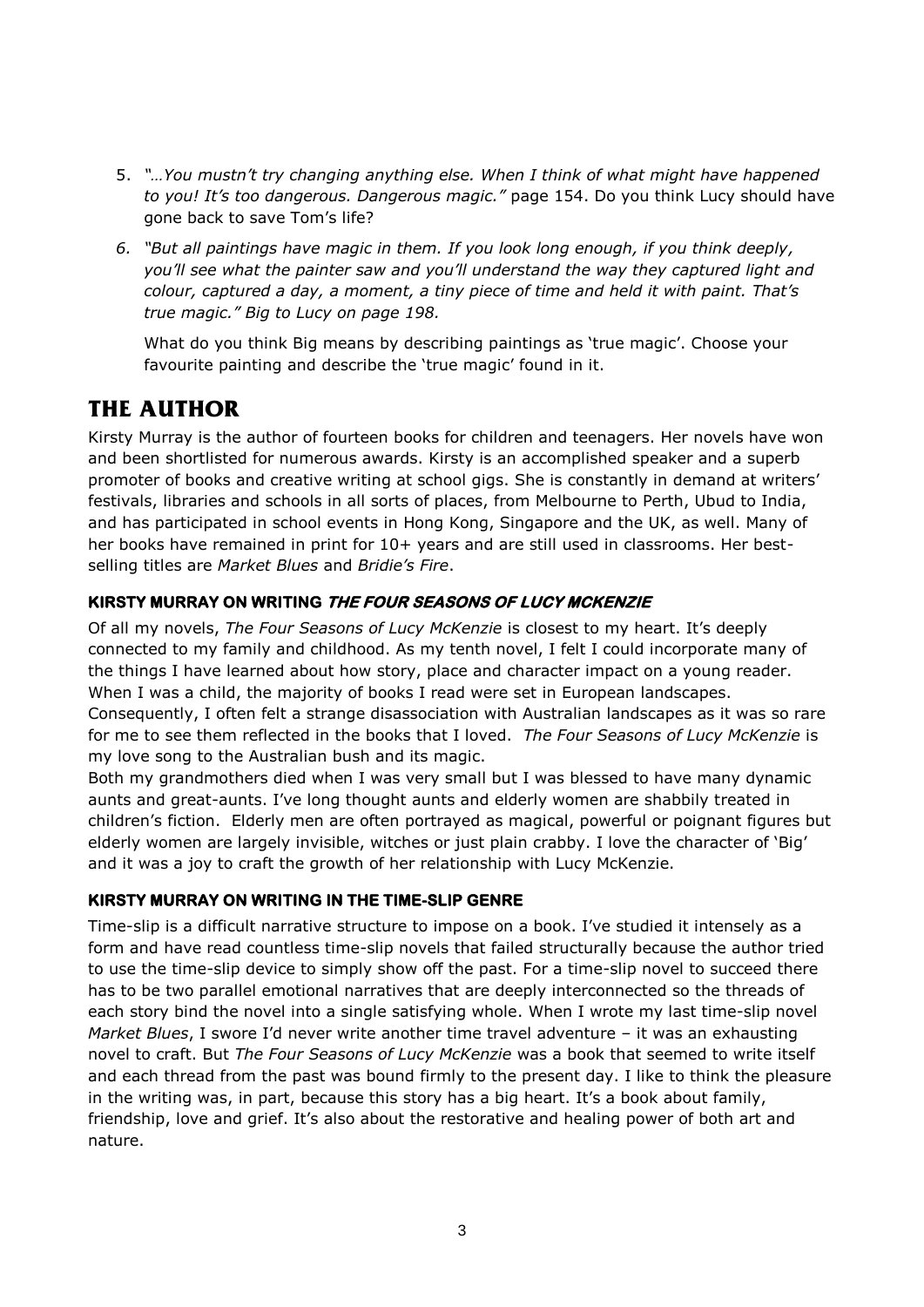- 5. *"…You mustn't try changing anything else. When I think of what might have happened to you! It's too dangerous. Dangerous magic."* page 154. Do you think Lucy should have gone back to save Tom's life?
- *6. "But all paintings have magic in them. If you look long enough, if you think deeply, you'll see what the painter saw and you'll understand the way they captured light and colour, captured a day, a moment, a tiny piece of time and held it with paint. That's true magic." Big to Lucy on page 198.*

What do you think Big means by describing paintings as 'true magic'. Choose your favourite painting and describe the 'true magic' found in it.

## **THE AUTHOR**

Kirsty Murray is the author of fourteen books for children and teenagers. Her novels have won and been shortlisted for numerous awards. Kirsty is an accomplished speaker and a superb promoter of books and creative writing at school gigs. She is constantly in demand at writers' festivals, libraries and schools in all sorts of places, from Melbourne to Perth, Ubud to India, and has participated in school events in Hong Kong, Singapore and the UK, as well. Many of her books have remained in print for 10+ years and are still used in classrooms. Her bestselling titles are *Market Blues* and *Bridie's Fire*.

#### **KIRSTY MURRAY ON WRITING THE FOUR SEASONS OF LUCY MCKENZIE**

Of all my novels, *The Four Seasons of Lucy McKenzie* is closest to my heart. It's deeply connected to my family and childhood. As my tenth novel, I felt I could incorporate many of the things I have learned about how story, place and character impact on a young reader. When I was a child, the majority of books I read were set in European landscapes. Consequently, I often felt a strange disassociation with Australian landscapes as it was so rare for me to see them reflected in the books that I loved. *The Four Seasons of Lucy McKenzie* is my love song to the Australian bush and its magic.

Both my grandmothers died when I was very small but I was blessed to have many dynamic aunts and great-aunts. I've long thought aunts and elderly women are shabbily treated in children's fiction. Elderly men are often portrayed as magical, powerful or poignant figures but elderly women are largely invisible, witches or just plain crabby. I love the character of 'Big' and it was a joy to craft the growth of her relationship with Lucy McKenzie.

#### **KIRSTY MURRAY ON WRITING IN THE TIME-SLIP GENRE**

Time-slip is a difficult narrative structure to impose on a book. I've studied it intensely as a form and have read countless time-slip novels that failed structurally because the author tried to use the time-slip device to simply show off the past. For a time-slip novel to succeed there has to be two parallel emotional narratives that are deeply interconnected so the threads of each story bind the novel into a single satisfying whole. When I wrote my last time-slip novel *Market Blues*, I swore I'd never write another time travel adventure – it was an exhausting novel to craft. But *The Four Seasons of Lucy McKenzie* was a book that seemed to write itself and each thread from the past was bound firmly to the present day. I like to think the pleasure in the writing was, in part, because this story has a big heart. It's a book about family, friendship, love and grief. It's also about the restorative and healing power of both art and nature.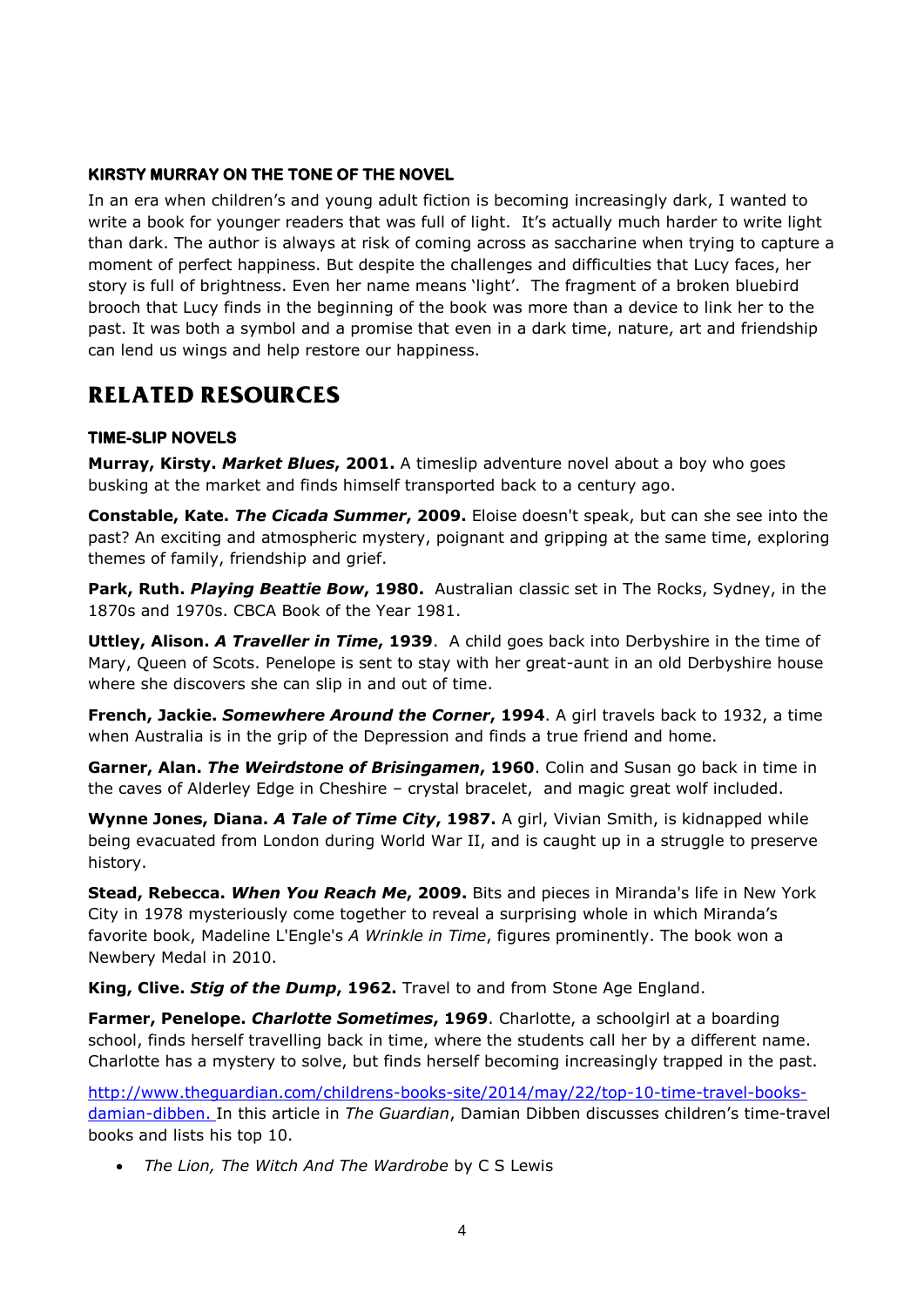#### **KIRSTY MURRAY ON THE TONE OF THE NOVEL**

In an era when children's and young adult fiction is becoming increasingly dark, I wanted to write a book for younger readers that was full of light. It's actually much harder to write light than dark. The author is always at risk of coming across as saccharine when trying to capture a moment of perfect happiness. But despite the challenges and difficulties that Lucy faces, her story is full of brightness. Even her name means 'light'. The fragment of a broken bluebird brooch that Lucy finds in the beginning of the book was more than a device to link her to the past. It was both a symbol and a promise that even in a dark time, nature, art and friendship can lend us wings and help restore our happiness.

## **RELATED RESOURCES**

#### **TIME-SLIP NOVELS**

**Murray, Kirsty.** *Market Blues***, 2001.** A timeslip adventure novel about a boy who goes busking at the market and finds himself transported back to a century ago.

**Constable, Kate.** *The Cicada Summer***, 2009.** Eloise doesn't speak, but can she see into the past? An exciting and atmospheric mystery, poignant and gripping at the same time, exploring themes of family, friendship and grief.

**Park, Ruth.** *Playing Beattie Bow***, 1980.** Australian classic set in The Rocks, Sydney, in the 1870s and 1970s. CBCA Book of the Year 1981.

**Uttley, Alison.** *A Traveller in Time***, 1939**. A child goes back into Derbyshire in the time of Mary, Queen of Scots. Penelope is sent to stay with her great-aunt in an old Derbyshire house where she discovers she can slip in and out of time.

**French, Jackie.** *Somewhere Around the Corner***, 1994**. A girl travels back to 1932, a time when Australia is in the grip of the Depression and finds a true friend and home.

**Garner, Alan.** *The Weirdstone of Brisingamen***, 1960**. Colin and Susan go back in time in the caves of Alderley Edge in Cheshire – crystal bracelet, and magic great wolf included.

**Wynne Jones, Diana.** *A Tale of Time City***, 1987.** A girl, Vivian Smith, is kidnapped while being evacuated from London during World War II, and is caught up in a struggle to preserve history.

**Stead, Rebecca.** *When You Reach Me***, 2009.** Bits and pieces in Miranda's life in New York City in 1978 mysteriously come together to reveal a surprising whole in which Miranda's favorite book, Madeline L'Engle's *A Wrinkle in Time*, figures prominently. The book won a Newbery Medal in 2010.

**King, Clive.** *Stig of the Dump***, 1962.** Travel to and from Stone Age England.

**Farmer, Penelope.** *Charlotte Sometimes***, 1969**. Charlotte, a schoolgirl at a boarding school, finds herself travelling back in time, where the students call her by a different name. Charlotte has a mystery to solve, but finds herself becoming increasingly trapped in the past.

[http://www.theguardian.com/childrens-books-site/2014/may/22/top-10-time-travel-books](http://www.theguardian.com/childrens-books-site/2014/may/22/top-10-time-travel-books-damian-dibben)[damian-dibben.](http://www.theguardian.com/childrens-books-site/2014/may/22/top-10-time-travel-books-damian-dibben) In this article in *The Guardian*, Damian Dibben discusses children's time-travel books and lists his top 10.

*The Lion, The Witch And The Wardrobe* by C S Lewis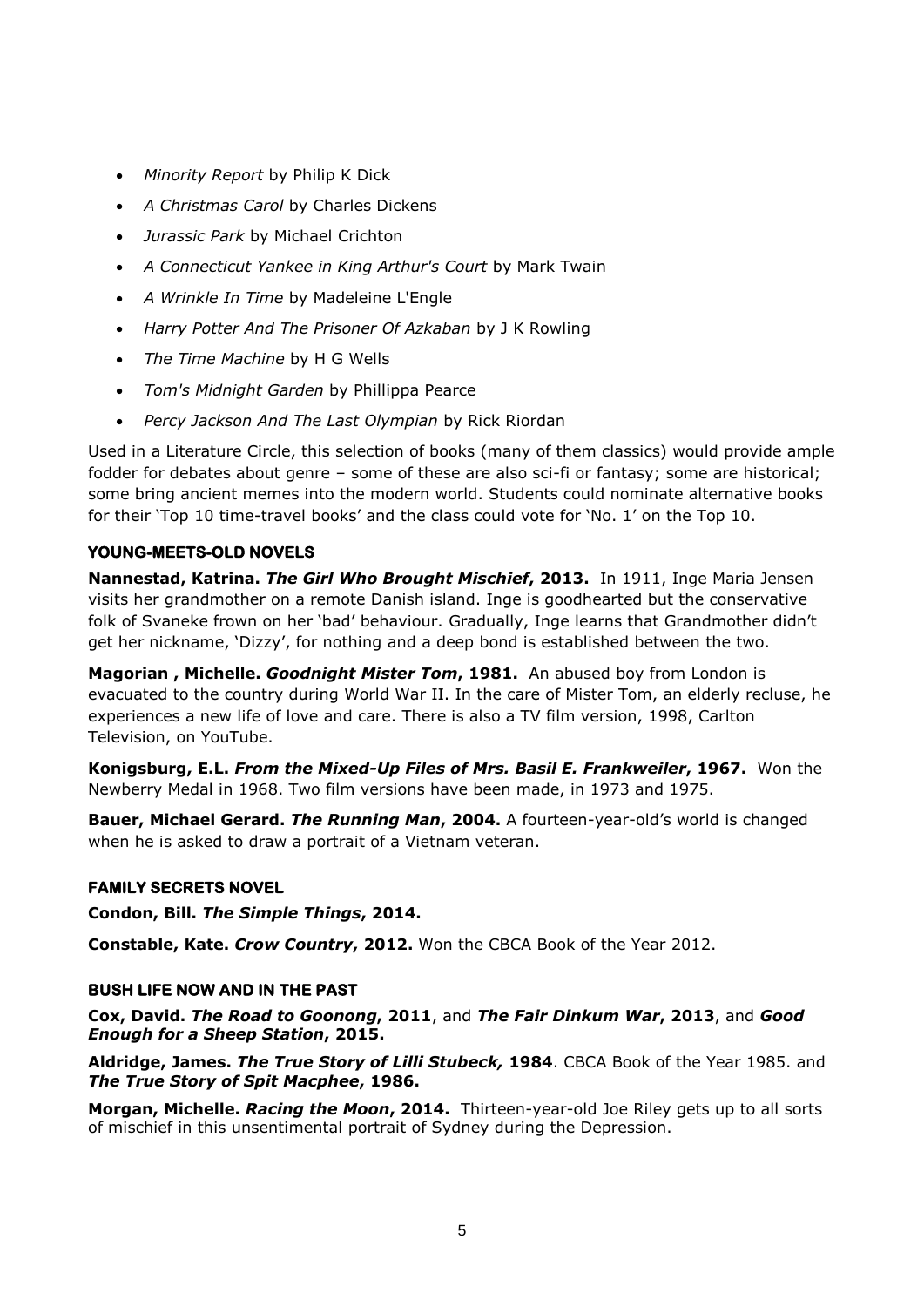- *Minority Report* by Philip K Dick
- *A Christmas Carol* by Charles Dickens
- *Jurassic Park* by Michael Crichton
- *A Connecticut Yankee in King Arthur's Court* by Mark Twain
- *A Wrinkle In Time* by Madeleine L'Engle
- *Harry Potter And The Prisoner Of Azkaban* by J K Rowling
- *The Time Machine* by H G Wells
- *Tom's Midnight Garden* by Phillippa Pearce
- *Percy Jackson And The Last Olympian* by Rick Riordan

Used in a Literature Circle, this selection of books (many of them classics) would provide ample fodder for debates about genre – some of these are also sci-fi or fantasy; some are historical; some bring ancient memes into the modern world. Students could nominate alternative books for their 'Top 10 time-travel books' and the class could vote for 'No. 1' on the Top 10.

#### **YOUNG-MEETS-OLD NOVELS**

**Nannestad, Katrina.** *The Girl Who Brought Mischief***, 2013.** In 1911, Inge Maria Jensen visits her grandmother on a remote Danish island. Inge is goodhearted but the conservative folk of Svaneke frown on her 'bad' behaviour. Gradually, Inge learns that Grandmother didn't get her nickname, 'Dizzy', for nothing and a deep bond is established between the two.

**Magorian , Michelle.** *Goodnight Mister Tom***, 1981.** An abused boy from London is evacuated to the country during World War II. In the care of Mister Tom, an elderly recluse, he experiences a new life of love and care. There is also a TV film version, 1998, Carlton Television, on YouTube.

**Konigsburg, E.L.** *From the Mixed-Up Files of Mrs. Basil E. Frankweiler***, 1967.** Won the Newberry Medal in 1968. Two film versions have been made, in 1973 and 1975.

**Bauer, Michael Gerard.** *The Running Man***, 2004.** A fourteen-year-old's world is changed when he is asked to draw a portrait of a Vietnam veteran.

#### **FAMILY SECRETS NOVEL**

**Condon, Bill.** *The Simple Things***, 2014.**

**Constable, Kate.** *Crow Country***, 2012.** Won the CBCA Book of the Year 2012.

#### **BUSH LIFE NOW AND IN THE PAST**

**Cox, David.** *The Road to Goonong***, 2011**, and *The Fair Dinkum War***, 2013**, and *Good Enough for a Sheep Station***, 2015.**

**Aldridge, James.** *The True Story of Lilli Stubeck,* **1984**. CBCA Book of the Year 1985. and *The True Story of Spit Macphee***, 1986.**

**Morgan, Michelle.** *Racing the Moon***, 2014.** Thirteen-year-old Joe Riley gets up to all sorts of mischief in this unsentimental portrait of Sydney during the Depression.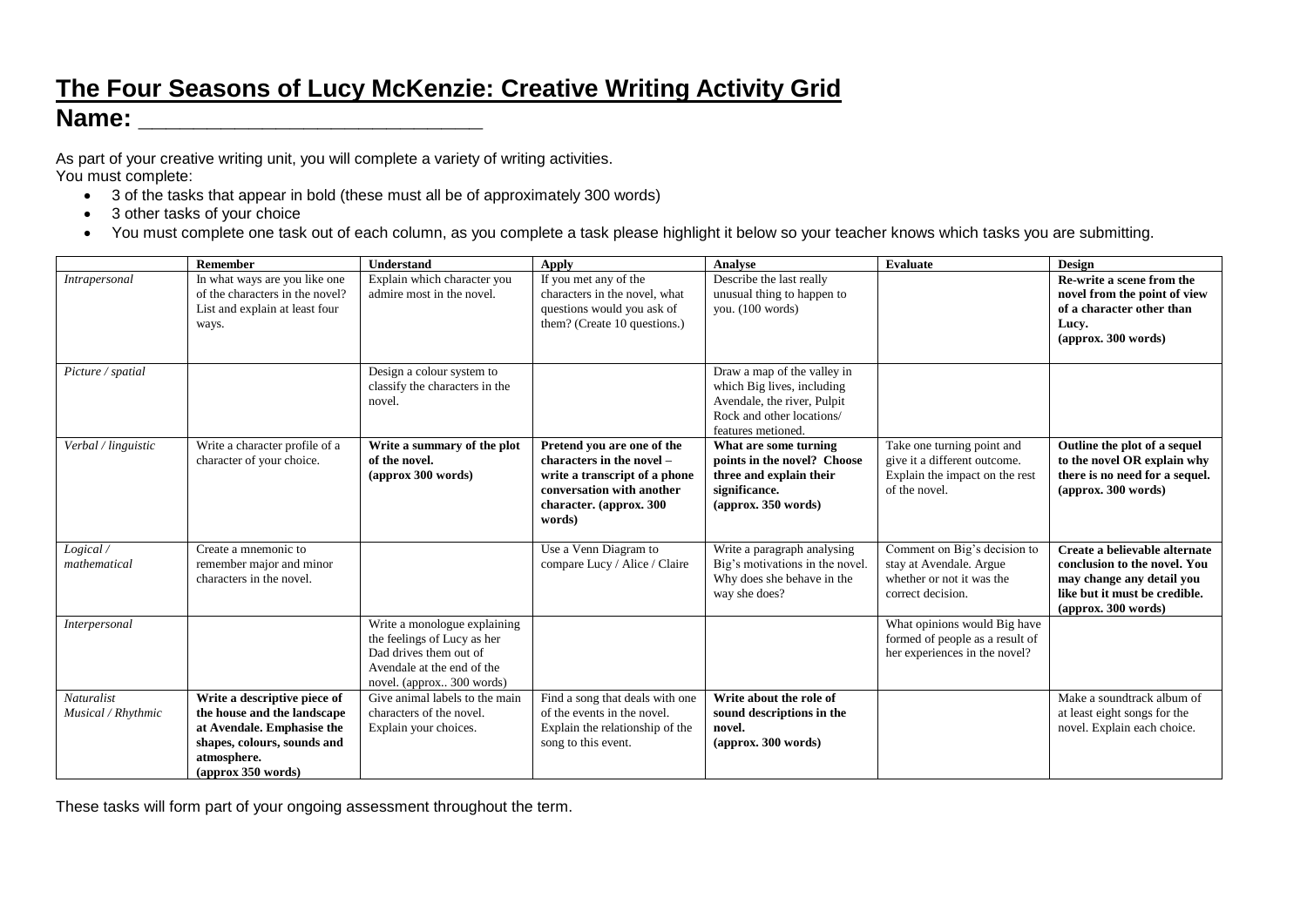## **The Four Seasons of Lucy McKenzie: Creative Writing Activity Grid Name: \_\_\_\_\_\_\_\_\_\_\_\_\_\_\_\_\_\_\_\_\_\_\_\_\_**

As part of your creative writing unit, you will complete a variety of writing activities. You must complete:

- 3 of the tasks that appear in bold (these must all be of approximately 300 words)
- 3 other tasks of your choice
- You must complete one task out of each column, as you complete a task please highlight it below so your teacher knows which tasks you are submitting.

|                                  | Remember                                                                                                                                                                    | Understand                                                                                                                                       | Apply                                                                                                                                                      | <b>Analyse</b>                                                                                                                              | Evaluate                                                                                                      | Design                                                                                                                                                           |
|----------------------------------|-----------------------------------------------------------------------------------------------------------------------------------------------------------------------------|--------------------------------------------------------------------------------------------------------------------------------------------------|------------------------------------------------------------------------------------------------------------------------------------------------------------|---------------------------------------------------------------------------------------------------------------------------------------------|---------------------------------------------------------------------------------------------------------------|------------------------------------------------------------------------------------------------------------------------------------------------------------------|
| Intrapersonal                    | In what ways are you like one<br>of the characters in the novel?<br>List and explain at least four<br>ways.                                                                 | Explain which character you<br>admire most in the novel.                                                                                         | If you met any of the<br>characters in the novel, what<br>questions would you ask of<br>them? (Create 10 questions.)                                       | Describe the last really<br>unusual thing to happen to<br>you. (100 words)                                                                  |                                                                                                               | Re-write a scene from the<br>novel from the point of view<br>of a character other than<br>Lucy.<br>(approx. 300 words)                                           |
| Picture / spatial                |                                                                                                                                                                             | Design a colour system to<br>classify the characters in the<br>novel.                                                                            |                                                                                                                                                            | Draw a map of the valley in<br>which Big lives, including<br>Avendale, the river, Pulpit<br>Rock and other locations/<br>features metioned. |                                                                                                               |                                                                                                                                                                  |
| Verbal / linguistic              | Write a character profile of a<br>character of your choice.                                                                                                                 | Write a summary of the plot<br>of the novel.<br>(approx 300 words)                                                                               | Pretend you are one of the<br>characters in the novel –<br>write a transcript of a phone<br>conversation with another<br>character. (approx. 300<br>words) | What are some turning<br>points in the novel? Choose<br>three and explain their<br>significance.<br>(approx. 350 words)                     | Take one turning point and<br>give it a different outcome.<br>Explain the impact on the rest<br>of the novel. | Outline the plot of a sequel<br>to the novel OR explain why<br>there is no need for a sequel.<br>(approx. 300 words)                                             |
| Logical /<br>mathematical        | Create a mnemonic to<br>remember major and minor<br>characters in the novel.                                                                                                |                                                                                                                                                  | Use a Venn Diagram to<br>compare Lucy / Alice / Claire                                                                                                     | Write a paragraph analysing<br>Big's motivations in the novel.<br>Why does she behave in the<br>way she does?                               | Comment on Big's decision to<br>stay at Avendale. Argue<br>whether or not it was the<br>correct decision.     | Create a believable alternate<br>conclusion to the novel. You<br>may change any detail you<br>like but it must be credible.<br>$\frac{1}{2}$ (approx. 300 words) |
| Interpersonal                    |                                                                                                                                                                             | Write a monologue explaining<br>the feelings of Lucy as her<br>Dad drives them out of<br>Avendale at the end of the<br>novel. (approx 300 words) |                                                                                                                                                            |                                                                                                                                             | What opinions would Big have<br>formed of people as a result of<br>her experiences in the novel?              |                                                                                                                                                                  |
| Naturalist<br>Musical / Rhythmic | Write a descriptive piece of<br>the house and the landscape<br>at Avendale. Emphasise the<br>shapes, colours, sounds and<br>atmosphere.<br>$\frac{1}{2}$ (approx 350 words) | Give animal labels to the main<br>characters of the novel.<br>Explain your choices.                                                              | Find a song that deals with one<br>of the events in the novel.<br>Explain the relationship of the<br>song to this event.                                   | Write about the role of<br>sound descriptions in the<br>novel.<br>(approx. 300 words)                                                       |                                                                                                               | Make a soundtrack album of<br>at least eight songs for the<br>novel. Explain each choice.                                                                        |

These tasks will form part of your ongoing assessment throughout the term.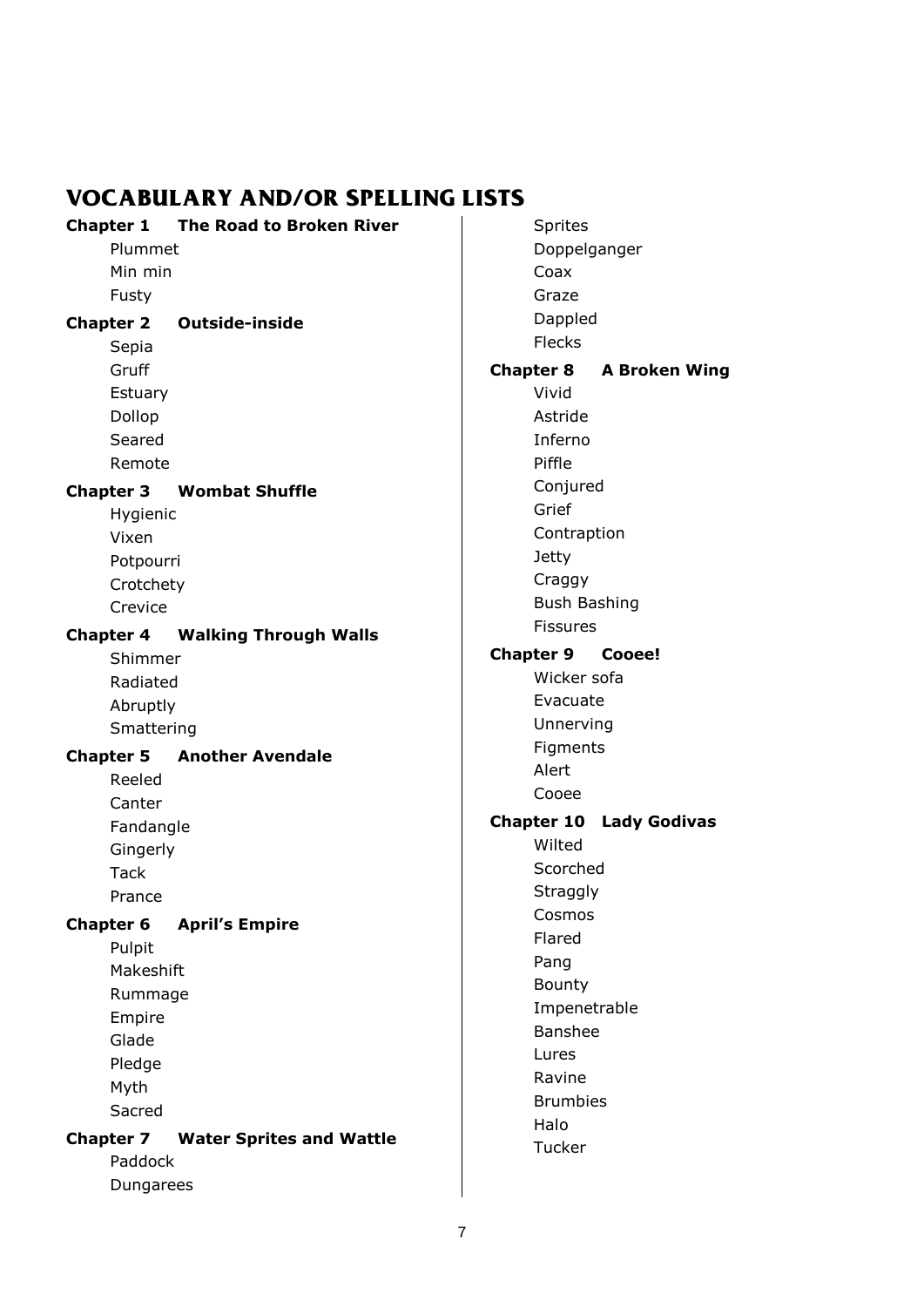## **VOCABULARY AND/OR SPELLING LISTS**

| <b>Chapter 1</b> | <b>The Road to Broken River</b> |
|------------------|---------------------------------|
| Plummet          |                                 |
| Min min          |                                 |
| Fusty            |                                 |
|                  | <b>Chapter 2 Outside-inside</b> |
| Sepia            |                                 |
| Gruff            |                                 |
| Estuary          |                                 |
| Dollop           |                                 |
| Seared           |                                 |
| Remote           |                                 |
| <b>Chapter 3</b> | <b>Wombat Shuffle</b>           |
| Hygienic         |                                 |
| Vixen            |                                 |
| Potpourri        |                                 |
| Crotchety        |                                 |
| Crevice          |                                 |
| <b>Chapter 4</b> | <b>Walking Through Walls</b>    |
| Shimmer          |                                 |
| Radiated         |                                 |
| Abruptly         |                                 |
|                  |                                 |
| Smattering       |                                 |
| <b>Chapter 5</b> | <b>Another Avendale</b>         |
| Reeled           |                                 |
| Canter           |                                 |
| Fandangle        |                                 |
| Gingerly         |                                 |
| <b>Tack</b>      |                                 |
| Prance           |                                 |
| <b>Chapter 6</b> | <b>April's Empire</b>           |
| Pulpit           |                                 |
| Makeshift        |                                 |
| Rummage          |                                 |
| Empire           |                                 |
| Glade            |                                 |
| Pledge           |                                 |
| Myth             |                                 |
| Sacred           |                                 |
| <b>Chapter 7</b> | <b>Water Sprites and Wattle</b> |
| Paddock          |                                 |

Sprites Doppelganger Coax Graze Dappled Flecks **Chapter 8 A Broken Wing** Vivid Astride Inferno Piffle Conjured Grief Contraption Jetty Craggy Bush Bashing Fissures **Chapter 9 Cooee!** Wicker sofa Evacuate Unnerving Figments Alert Cooee **Chapter 10 Lady Godivas** Wilted Scorched **Straggly** Cosmos Flared Pang Bounty Impenetrable Banshee Lures Ravine Brumbies Halo **Tucker**